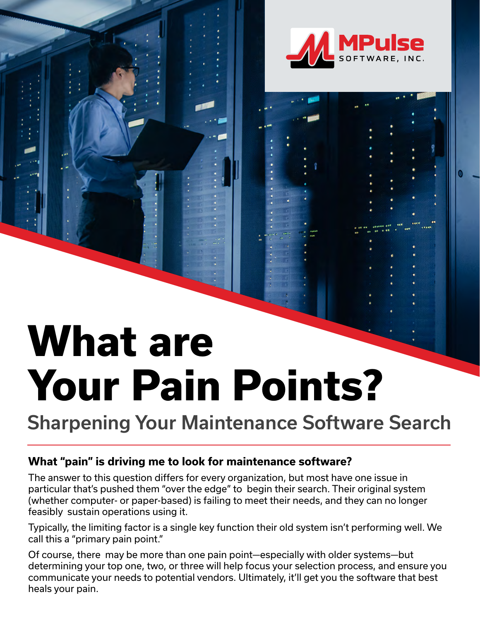

# **What are Your Pain Points?**

Sharpening Your Maintenance Software Search

#### **What "pain" is driving me to look for maintenance software?**

The answer to this question differs for every organization, but most have one issue in particular that's pushed them "over the edge" to begin their search. Their original system (whether computer- or paper-based) is failing to meet their needs, and they can no longer feasibly sustain operations using it.

Typically, the limiting factor is a single key function their old system isn't performing well. We call this a "primary pain point."

Of course, there may be more than one pain point—especially with older systems—but determining your top one, two, or three will help focus your selection process, and ensure you communicate your needs to potential vendors. Ultimately, it'll get you the software that best heals your pain.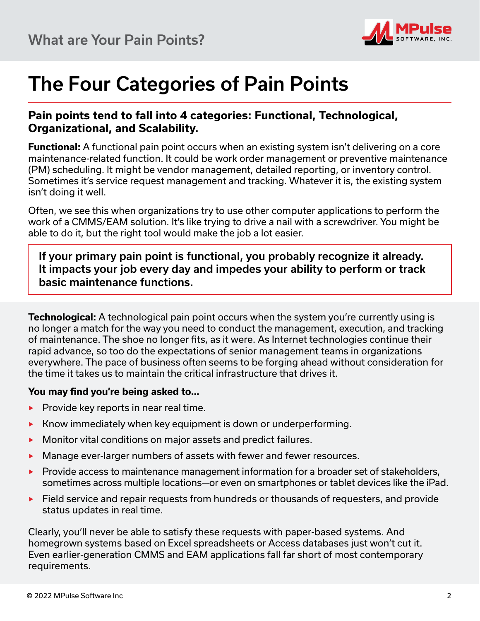

## The Four Categories of Pain Points

#### **Pain points tend to fall into 4 categories: Functional, Technological, Organizational, and Scalability.**

**Functional:** A functional pain point occurs when an existing system isn't delivering on a core maintenance-related function. It could be work order management or preventive maintenance (PM) scheduling. It might be vendor management, detailed reporting, or inventory control. Sometimes it's service request management and tracking. Whatever it is, the existing system isn't doing it well.

Often, we see this when organizations try to use other computer applications to perform the work of a CMMS/EAM solution. It's like trying to drive a nail with a screwdriver. You might be able to do it, but the right tool would make the job a lot easier.

If your primary pain point is functional, you probably recognize it already. It impacts your job every day and impedes your ability to perform or track basic maintenance functions.

**Technological:** A technological pain point occurs when the system you're currently using is no longer a match for the way you need to conduct the management, execution, and tracking of maintenance. The shoe no longer fits, as it were. As Internet technologies continue their rapid advance, so too do the expectations of senior management teams in organizations everywhere. The pace of business often seems to be forging ahead without consideration for the time it takes us to maintain the critical infrastructure that drives it.

#### **You may find you're being asked to…**

- $\blacktriangleright$  Provide key reports in near real time.
- ▶ Know immediately when key equipment is down or underperforming.
- ▶ Monitor vital conditions on major assets and predict failures.
- ▶ Manage ever-larger numbers of assets with fewer and fewer resources.
- ▶ Provide access to maintenance management information for a broader set of stakeholders, sometimes across multiple locations—or even on smartphones or tablet devices like the iPad.
- ▶ Field service and repair requests from hundreds or thousands of requesters, and provide status updates in real time.

Clearly, you'll never be able to satisfy these requests with paper-based systems. And homegrown systems based on Excel spreadsheets or Access databases just won't cut it. Even earlier-generation CMMS and EAM applications fall far short of most contemporary requirements.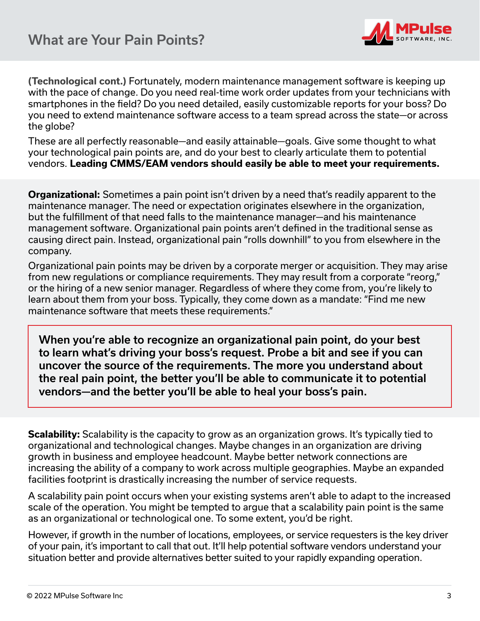

**(Technological cont.)** Fortunately, modern maintenance management software is keeping up with the pace of change. Do you need real-time work order updates from your technicians with smartphones in the field? Do you need detailed, easily customizable reports for your boss? Do you need to extend maintenance software access to a team spread across the state—or across the globe?

These are all perfectly reasonable—and easily attainable—goals. Give some thought to what your technological pain points are, and do your best to clearly articulate them to potential vendors. **Leading CMMS/EAM vendors should easily be able to meet your requirements.**

**Organizational:** Sometimes a pain point isn't driven by a need that's readily apparent to the maintenance manager. The need or expectation originates elsewhere in the organization, but the fulfillment of that need falls to the maintenance manager—and his maintenance management software. Organizational pain points aren't defined in the traditional sense as causing direct pain. Instead, organizational pain "rolls downhill" to you from elsewhere in the company.

Organizational pain points may be driven by a corporate merger or acquisition. They may arise from new regulations or compliance requirements. They may result from a corporate "reorg," or the hiring of a new senior manager. Regardless of where they come from, you're likely to learn about them from your boss. Typically, they come down as a mandate: "Find me new maintenance software that meets these requirements."

When you're able to recognize an organizational pain point, do your best to learn what's driving your boss's request. Probe a bit and see if you can uncover the source of the requirements. The more you understand about the real pain point, the better you'll be able to communicate it to potential vendors—and the better you'll be able to heal your boss's pain.

**Scalability:** Scalability is the capacity to grow as an organization grows. It's typically tied to organizational and technological changes. Maybe changes in an organization are driving growth in business and employee headcount. Maybe better network connections are increasing the ability of a company to work across multiple geographies. Maybe an expanded facilities footprint is drastically increasing the number of service requests.

A scalability pain point occurs when your existing systems aren't able to adapt to the increased scale of the operation. You might be tempted to argue that a scalability pain point is the same as an organizational or technological one. To some extent, you'd be right.

However, if growth in the number of locations, employees, or service requesters is the key driver of your pain, it's important to call that out. It'll help potential software vendors understand your situation better and provide alternatives better suited to your rapidly expanding operation.